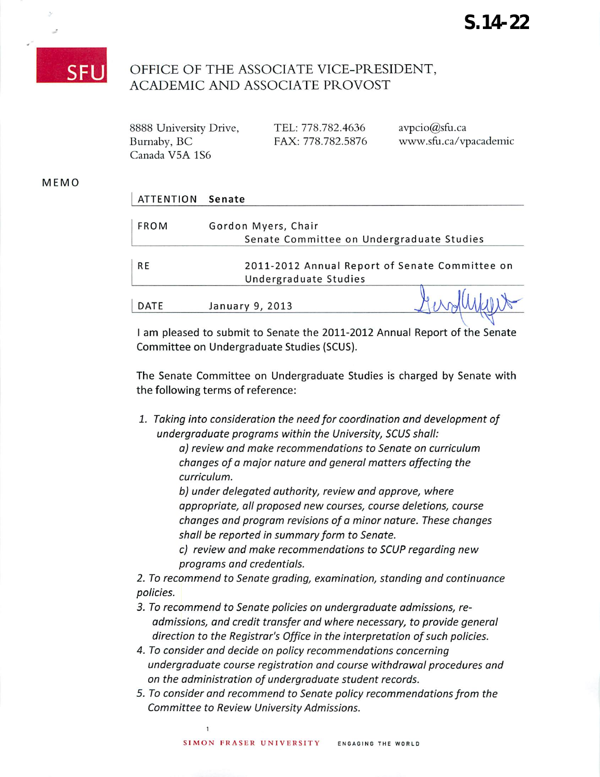

## OFFICE OF THE ASSOCIATE VICE-PRESIDENT, ACADEMIC AND ASSOCIATE PROVOST

| 8888 University Drive, | TEL: 778.782.4636 | $\text{avpcio}(\hat{\mathcal{Q}})$ sfu.ca |
|------------------------|-------------------|-------------------------------------------|
| Burnaby, BC            | FAX: 778.782.5876 | www.sfu.ca/vpacademic                     |
| Canada V5A 1S6         |                   |                                           |

## MEMO

| <b>ATTENTION</b> | Senate                                         |
|------------------|------------------------------------------------|
| <b>FROM</b>      | Gordon Myers, Chair                            |
|                  | Senate Committee on Undergraduate Studies      |
|                  |                                                |
| <b>RE</b>        | 2011-2012 Annual Report of Senate Committee on |
|                  | Undergraduate Studies                          |
| DATE             | January 9, 2013                                |

I am pleased to submit to Senate the 2011-2012 Annual Report of the Senate Committee on Undergraduate Studies (SCUS).

The Senate Committee on Undergraduate Studies is charged by Senate with the following terms of reference:

**1. Taking into consideration the need for coordination and development of undergraduate programs within the University, SCUS shall:**

**a) review and make recommendations to Senate on curriculum changes of a major nature and general matters affecting the curriculum.**

**b) under delegated authority, review and approve, where appropriate, all proposed new courses, course deletions, course changes and program revisions of a minor nature. These changes shall be reported in summary form to Senate.**

**c) review and make recommendations to SCUPregarding new programs and credentials.**

**2. To recommend to Senate grading, examination, standing and continuance policies.**

- **3. To recommend to Senate policies on undergraduate admissions, readmissions, and credit transfer and where necessary, to provide general direction to the Registrar's Office in the interpretation ofsuch policies.**
- **4. To consider and decide on policy recommendations concerning undergraduate course registration and course withdrawal procedures and on the administration of undergraduate student records.**
- **5. To consider and recommend to Senate policy recommendationsfrom the Committee to Review University Admissions.**

 $\mathbf{1}$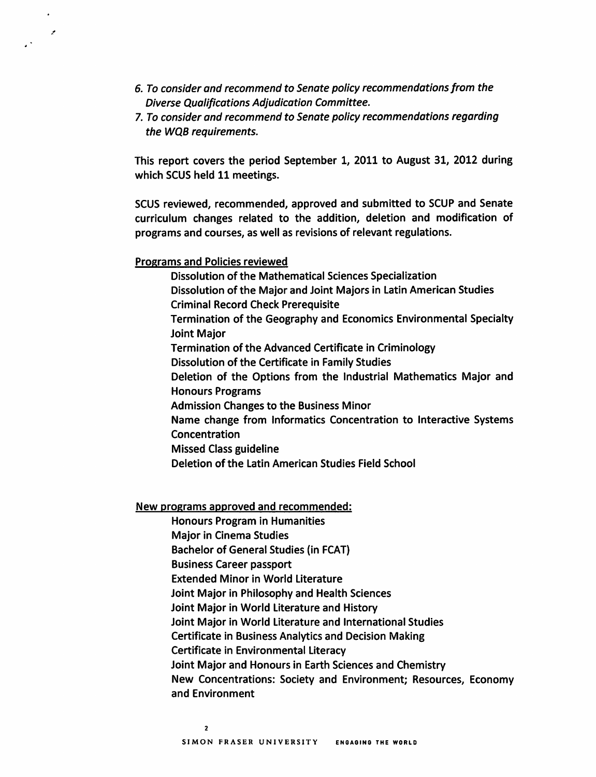- *6. To consider and recommend to Senate policy recommendations from the Diverse Qualifications Adjudication Committee.*
- *7. To consider and recommend to Senate policy recommendations regarding the WQB requirements.*

*This report covers the period September 1, 2011 to August 31, 2012 during which SCUS held 11 meetings.*

*SCUS reviewed, recommended, approved and submitted to SCUP and Senate curriculum changes related to the addition, deletion and modification of programs and courses, as well as revisions of relevant regulations.*

*Programs and Policies reviewed*

 $\overline{z}$ 

 $\mathbb{R}^{\frac{1}{2}}$ 

*Dissolution of the Mathematical Sciences Specialization Dissolution of the Major and Joint Majors in Latin American Studies Criminal Record Check Prerequisite Termination of the Geography and Economics Environmental Specialty Joint Major Termination of the Advanced Certificate in Criminology Dissolution of the Certificate in Family Studies Deletion of the Options from the Industrial Mathematics Major and Honours Programs Admission Changes to the Business Minor Name change from Informatics Concentration to Interactive Systems Concentration Missed Class guideline Deletion of the Latin American Studies Field School*

*New programs approved and recommended:*

*Honours Program in Humanities Major in Cinema Studies Bachelor of General Studies (in FCAT) Business Career passport Extended Minor in World Literature Joint Major in Philosophy and Health Sciences Joint Major in World Literature and History Joint Major in World Literature and International Studies Certificate in Business Analytics and Decision Making Certificate in Environmental Literacy Joint Major and Honours in Earth Sciences and Chemistry New Concentrations: Society and Environment; Resources, Economy and Environment*